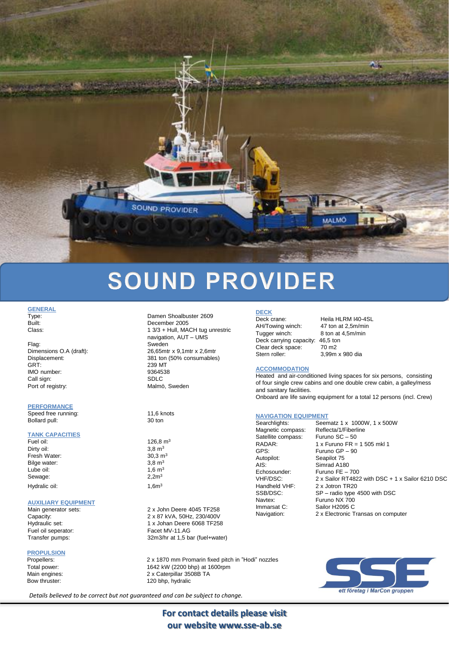

# **SOUND PROVIDER**

# **GENERAL**<br>Type:

Flag: Sweden GRT: 239 MT<br>1MO number: 239 MT<br>2364538 IMO number: 93645<br>Call sign: 93645 Call sign: Port of registry: Malmö, Sweden

#### **PERFORMANCE**

Speed free running: 11,6 knots Bollard pull: 30 ton

# **TANK CAPACITIES**

Dirty oil:  $3,8 \text{ m}^3$ <br>Fresh Water:  $30,3 \text{ m}^3$ Fresh Water:  $\frac{30,3 \text{ m}}{3,8 \text{ m}^3}$ Bilge water:  $3,8 \text{ m}^3$ <br>Lube oil:  $1,6 \text{ m}^3$ Lube oil: Sewage: 2.2m<sup>3</sup> Hydralic oil: 1,6m<sup>3</sup>

#### **AUXILIARY EQUIPMENT**

Fuel oil seperator:

**PROPULSION**

Damen Shoalbuster 2609 Built: December 2005 Class: Class: 1 3/3 + Hull, MACH tug unrestric navigation, AUT – UMS Dimensions O.A (draft): 26,65mtr x 9,1mtr x 2,6mtr Displacement: 381 ton (50% consumables)

126,8  $m<sup>3</sup>$ 

Main generator sets: 2 x John Deere 4045 TF258 Capacity: 2 x 87 kVA, 50Hz, 230/400V 1 x Johan Deere 6068 TF258<br>Facet MV-11 AG Transfer pumps: 32m3/hr at 1,5 bar (fuel+water)

Propellers: 2 x 1870 mm Promarin fixed pitch in "Hodi" nozzles<br>2 x 1870 mm Promarin fixed pitch in "Hodi" nozzles Total power: 1642 kW (2200 bhp) at 1600rpm<br>
Main engines: 1642 kW (2200 bhp) at 1600rpm 2 x Caterpillar 3508B TA Bow thruster: 120 bhp, hydralic

### **DECK**

AH/Towing winch: 47 ton at 2,5m/min Tugger winch: 8 ton at 4,5m/min Deck carrying capacity: 46,5 ton Clear deck space: 70 m2 Stern roller: 3,99m x 980 dia

Deck crane: Heila HLRM I40-4SL

#### **ACCOMMODATION**

Heated and air-conditioned living spaces for six persons, consisting of four single crew cabins and one double crew cabin, a galley/mess and sanitary facilities. Onboard are life saving equipment for a total 12 persons (incl. Crew)

#### **NAVIGATION EQUIPMENT**

Searchlights: Seematz 1 x 1000W, 1 x 500W<br>Magnetic compass: Reflecta/1/Fiberline Magnetic compass: Reflecta/1/Fiberl<br>Satellite compass: Furuno SC - 50 Satellite compass:<br>RADAR: RADAR:  $1 \times$  Furuno FR = 1 505 mkl 1<br>GPS:  $505 \times$  Furuno GP - 90 Furuno GP – 90 Autopilot: Seapilot 75<br>AIS: Simrad A18 AIS: Simrad A180<br>Echosounder: Furuno FE -Echosounder: Furuno FE – 700<br>VHF/DSC: 2 x Sailor RT482 VHF/DSC: 2 x Sailor RT4822 with DSC + 1 x Sailor 6210 DSC<br>Handheld VHF: 2 x Jotron TR20 2 x Jotron TR20 SSB/DSC: SP – radio type 4500 with DSC Navtex: Furuno NX 700<br>Immarsat C: Sailor H2095 C Sailor H2095 C Navigation: 2 x Electronic Transas on computer



*Details believed to be correct but not guaranteed and can be subject to change.*

**For contact details please visit our website www.sse-ab.se**